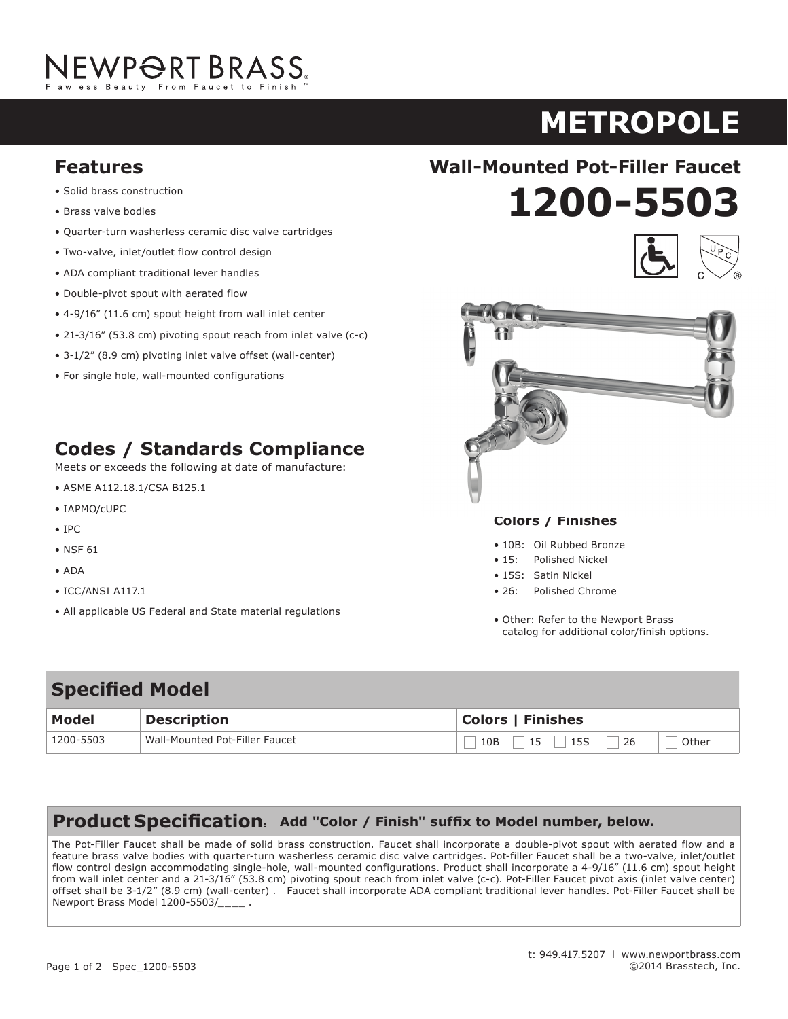# NEWP<del>O</del>RT BRASS.

**metroPoLe ASTOR**

- **Solid brass construction**
- Brass valve bodies • Solid brass construction
- Quarter-turn washerless ceramic disc valve cartridges
- Two-valve, inlet/outlet flow control design
- ADA compliant traditional lever handles
- Double-pivot spout with aerated flow
- $\bullet$  4-9/16" (11.6 cm) spout height from wall inlet center
- 21-3/16" (53.8 cm) pivoting spout reach from inlet valve (c-c)
- 3-1/2" (8.9 cm) pivoting inlet valve offset (wall-center)
- For single hole, wall-mounted configurations

### **codes / standards compliance Codes / Standards Compliance** Standards compliance

Meets or exceeds the following at date of manufacture: • And the company of a series of the series of the series of the series of the series of the series of the series of the series of the series of the series of the series of the series of the series of the series of the ser

- ASME A112.18.1/CSA B125.1
- IAPMO/cUPC
- IPC
- NSF 61
- ADA
- ICC/ANSI A117.1 ICC/ANSI A117.1
- All applicable US Federal and State material regulations

# **1200-5503 Features Wall-Mounted Pot-Filler Faucet**





#### **colors / Finishes**

- 10B: Oil Rubbed Bronze
- 15: Polished Nickel
- 15S: Satin Nickel
- 155: Satifi Nickel<br>• 26: Polished Chrome
- Other: Refer to the Newport Brass other: Refer to the Newport Brass<br>catalog for additional color/finish options. andonal Color/Timsh op

additional color/finish options.

## **Specified Model**

| <b>Model</b> | <b>Description</b>             | <b>Colors   Finishes</b> |
|--------------|--------------------------------|--------------------------|
| 1200-5503    | Wall-Mounted Pot-Filler Faucet | Other                    |

### Product Specification: Add "Color / Finish" suffix to Model number, below.

The Pot-Filler Faucet shall be made of solid brass construction. Faucet shall incorporate a double-pivot spout with aerated flow and a feature brass valve bodies with quarter-turn washerless ceramic disc valve cartridges. Pot-filler Faucet shall be a two-valve, inlet/outlet flow control design accommodating single-hole, wall-mounted configurations. Product shall incorporate a 4-9/16" (11.6 cm) spout height from wall inlet center and a 21-3/16" (53.8 cm) pivoting spout reach from inlet valve (c-c). Pot-Filler Faucet pivot axis (inlet valve center) offset shall be 3-1/2" (8.9 cm) (wall-center) . Faucet shall incorporate ADA compliant traditional lever handles. Pot-Filler Faucet shall be Newport Brass Model 1200-5503/\_\_\_\_ .

> integral supply hoses and feature brass valve bodies with quarter-turn washerless ceramic disc valve cartridges. Faucet shall have a 1.5 gallon (5.7 liter) per minute maximum flow rate. Product shall be for 8" (20.3 cm) centers - Maximum 20" (50.8 cm). Product shall